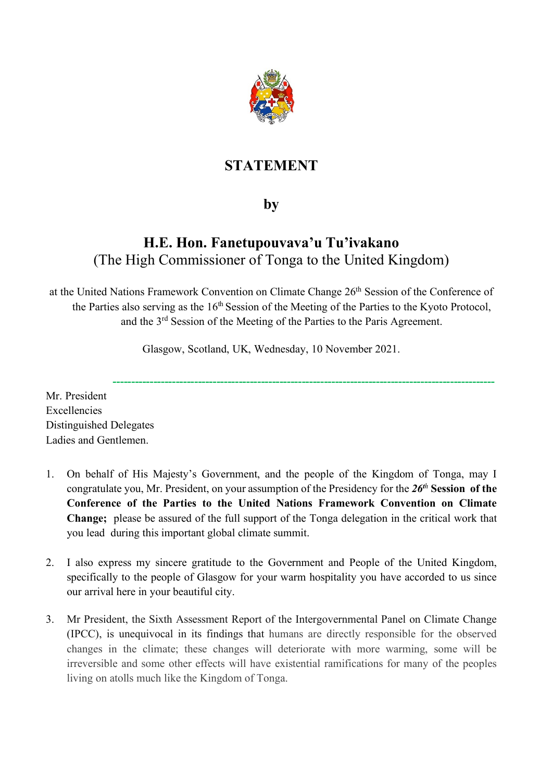

# **STATEMENT**

## **by**

## **H.E. Hon. Fanetupouvava'u Tu'ivakano** (The High Commissioner of Tonga to the United Kingdom)

at the United Nations Framework Convention on Climate Change 26<sup>th</sup> Session of the Conference of the Parties also serving as the 16<sup>th</sup> Session of the Meeting of the Parties to the Kyoto Protocol, and the 3rd Session of the Meeting of the Parties to the Paris Agreement.

Glasgow, Scotland, UK, Wednesday, 10 November 2021.

**-------------------------------------------------------------------------------------------------------**

Mr. President Excellencies Distinguished Delegates Ladies and Gentlemen.

- 1. On behalf of His Majesty's Government, and the people of the Kingdom of Tonga, may I congratulate you, Mr. President, on your assumption of the Presidency for the *26t<sup>h</sup>* **Session of the Conference of the Parties to the United Nations Framework Convention on Climate Change;** please be assured of the full support of the Tonga delegation in the critical work that you lead during this important global climate summit.
- 2. I also express my sincere gratitude to the Government and People of the United Kingdom, specifically to the people of Glasgow for your warm hospitality you have accorded to us since our arrival here in your beautiful city.
- 3. Mr President, the Sixth Assessment Report of the Intergovernmental Panel on Climate Change (IPCC), is unequivocal in its findings that humans are directly responsible for the observed changes in the climate; these changes will deteriorate with more warming, some will be irreversible and some other effects will have existential ramifications for many of the peoples living on atolls much like the Kingdom of Tonga.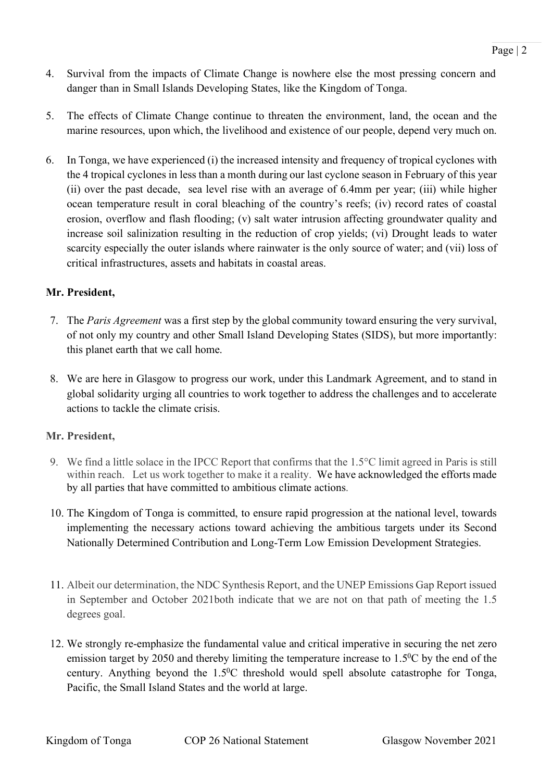- 4. Survival from the impacts of Climate Change is nowhere else the most pressing concern and danger than in Small Islands Developing States, like the Kingdom of Tonga.
- 5. The effects of Climate Change continue to threaten the environment, land, the ocean and the marine resources, upon which, the livelihood and existence of our people, depend very much on.
- 6. In Tonga, we have experienced (i) the increased intensity and frequency of tropical cyclones with the 4 tropical cyclones in less than a month during our last cyclone season in February of this year (ii) over the past decade, sea level rise with an average of 6.4mm per year; (iii) while higher ocean temperature result in coral bleaching of the country's reefs; (iv) record rates of coastal erosion, overflow and flash flooding; (v) salt water intrusion affecting groundwater quality and increase soil salinization resulting in the reduction of crop yields; (vi) Drought leads to water scarcity especially the outer islands where rainwater is the only source of water; and (vii) loss of critical infrastructures, assets and habitats in coastal areas.

#### **Mr. President,**

- 7. The *Paris Agreement* was a first step by the global community toward ensuring the very survival, of not only my country and other Small Island Developing States (SIDS), but more importantly: this planet earth that we call home.
- 8. We are here in Glasgow to progress our work, under this Landmark Agreement, and to stand in global solidarity urging all countries to work together to address the challenges and to accelerate actions to tackle the climate crisis.

#### **Mr. President,**

- 9. We find a little solace in the IPCC Report that confirms that the 1.5°C limit agreed in Paris is still within reach. Let us work together to make it a reality. We have acknowledged the efforts made by all parties that have committed to ambitious climate actions.
- 10. The Kingdom of Tonga is committed, to ensure rapid progression at the national level, towards implementing the necessary actions toward achieving the ambitious targets under its Second Nationally Determined Contribution and Long-Term Low Emission Development Strategies.
- 11. Albeit our determination, the NDC Synthesis Report, and the UNEP Emissions Gap Report issued in September and October 2021both indicate that we are not on that path of meeting the 1.5 degrees goal.
- 12. We strongly re-emphasize the fundamental value and critical imperative in securing the net zero emission target by 2050 and thereby limiting the temperature increase to  $1.5^{\circ}$ C by the end of the century. Anything beyond the  $1.5^{\circ}$ C threshold would spell absolute catastrophe for Tonga, Pacific, the Small Island States and the world at large.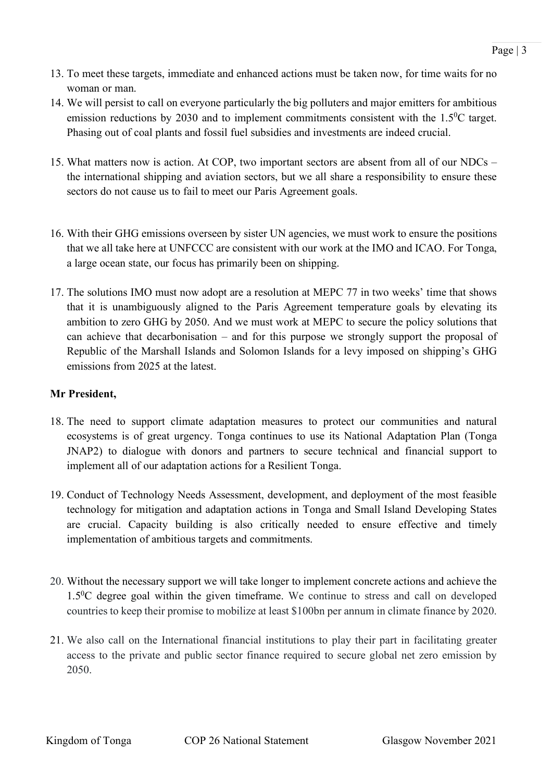- 13. To meet these targets, immediate and enhanced actions must be taken now, for time waits for no woman or man.
- 14. We will persist to call on everyone particularly the big polluters and major emitters for ambitious emission reductions by 2030 and to implement commitments consistent with the  $1.5\text{°C}$  target. Phasing out of coal plants and fossil fuel subsidies and investments are indeed crucial.
- 15. What matters now is action. At COP, two important sectors are absent from all of our NDCs the international shipping and aviation sectors, but we all share a responsibility to ensure these sectors do not cause us to fail to meet our Paris Agreement goals.
- 16. With their GHG emissions overseen by sister UN agencies, we must work to ensure the positions that we all take here at UNFCCC are consistent with our work at the IMO and ICAO. For Tonga, a large ocean state, our focus has primarily been on shipping.
- 17. The solutions IMO must now adopt are a resolution at MEPC 77 in two weeks' time that shows that it is unambiguously aligned to the Paris Agreement temperature goals by elevating its ambition to zero GHG by 2050. And we must work at MEPC to secure the policy solutions that can achieve that decarbonisation – and for this purpose we strongly support the proposal of Republic of the Marshall Islands and Solomon Islands for a levy imposed on shipping's GHG emissions from 2025 at the latest.

## **Mr President,**

- 18. The need to support climate adaptation measures to protect our communities and natural ecosystems is of great urgency. Tonga continues to use its National Adaptation Plan (Tonga JNAP2) to dialogue with donors and partners to secure technical and financial support to implement all of our adaptation actions for a Resilient Tonga.
- 19. Conduct of Technology Needs Assessment, development, and deployment of the most feasible technology for mitigation and adaptation actions in Tonga and Small Island Developing States are crucial. Capacity building is also critically needed to ensure effective and timely implementation of ambitious targets and commitments.
- 20. Without the necessary support we will take longer to implement concrete actions and achieve the 1.50C degree goal within the given timeframe. We continue to stress and call on developed countries to keep their promise to mobilize at least \$100bn per annum in climate finance by 2020.
- 21. We also call on the International financial institutions to play their part in facilitating greater access to the private and public sector finance required to secure global net zero emission by 2050.